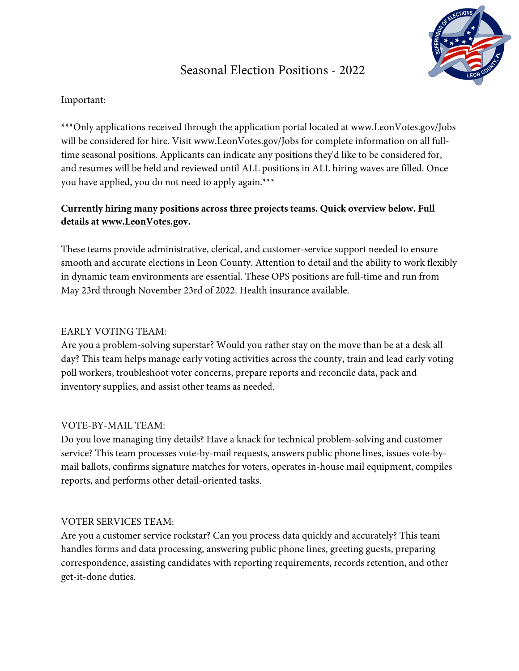# Seasonal Election Positions - 2022

## Important:

\*\*\*Only applications received through the application portal located at www.LeonVotes.gov/Jobs will be considered for hire. Visit www.LeonVotes.gov/Jobs for complete information on all fulltime seasonal positions. Applicants can indicate any positions they'd like to be considered for, and resumes will be held and reviewed until ALL positions in ALL hiring waves are filled. Once you have applied, you do not need to apply again.\*\*\*

# **Currently hiring many positions across three projects teams. Quick overview below. Full details at www.LeonVotes.gov.**

These teams provide administrative, clerical, and customer-service support needed to ensure smooth and accurate elections in Leon County. Attention to detail and the ability to work flexibly in dynamic team environments are essential. These OPS positions are full-time and run from May 23rd through November 23rd of 2022. Health insurance available.

## EARLY VOTING TEAM:

Are you a problem-solving superstar? Would you rather stay on the move than be at a desk all day? This team helps manage early voting activities across the county, train and lead early voting poll workers, troubleshoot voter concerns, prepare reports and reconcile data, pack and inventory supplies, and assist other teams as needed.

#### VOTE-BY-MAIL TEAM:

Do you love managing tiny details? Have a knack for technical problem-solving and customer service? This team processes vote-by-mail requests, answers public phone lines, issues vote-bymail ballots, confirms signature matches for voters, operates in-house mail equipment, compiles reports, and performs other detail-oriented tasks.

#### VOTER SERVICES TEAM:

Are you a customer service rockstar? Can you process data quickly and accurately? This team handles forms and data processing, answering public phone lines, greeting guests, preparing correspondence, assisting candidates with reporting requirements, records retention, and other get-it-done duties.